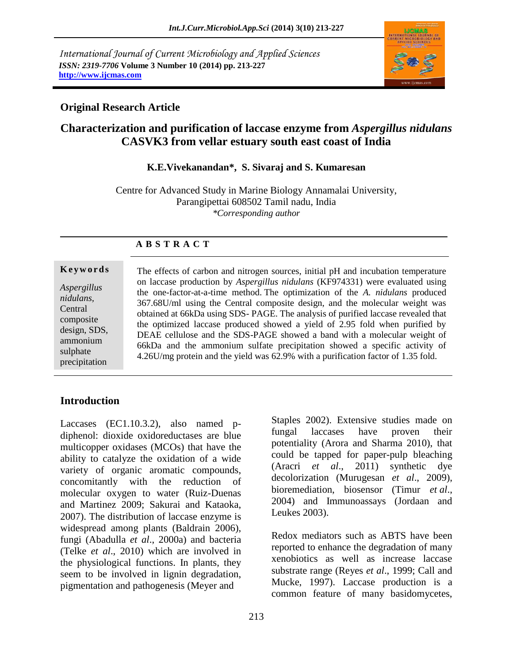*International Journal of Current Microbiology and Applied Sciences ISSN: 2319-7706* **Volume 3 Number 10 (2014) pp. 213-227 http://www.ijcmas.com**



## **Original Research Article**

# **Characterization and purification of laccase enzyme from** *Aspergillus nidulans* **CASVK3 from vellar estuary south east coast of India**

#### **K.E.Vivekanandan\*, S. Sivaraj and S. Kumaresan**

Centre for Advanced Study in Marine Biology Annamalai University, Parangipettai 608502 Tamil nadu, India *\*Corresponding author*

#### **A B S T R A C T**

#### **K e y w o r d s**

*Aspergillus nidulans,* Central composite design, SDS, ammonium sulphate precipitation

The effects of carbon and nitrogen sources, initial pH and incubation temperature on laccase production by *Aspergillus nidulans* (KF974331) were evaluated using the one-factor-at-a-time method. The optimization of the *A. nidulans* produced 367.68U/ml using the Central composite design, and the molecular weight was obtained at 66kDa using SDS- PAGE. The analysis of purified laccase revealed that the optimized laccase produced showed a yield of 2.95 fold when purified by DEAE cellulose and the SDS-PAGE showed a band with a molecular weight of 66kDa and the ammonium sulfate precipitation showed a specific activity of 4.26U/mg protein and the yield was 62.9% with a purification factor of 1.35 fold.

# **Introduction**

Laccases (EC1.10.3.2), also named pdiphenol: dioxide oxidoreductases are blue multicopper oxidases (MCOs) that have the ability to catalyze the oxidation of a wide variety of organic aromatic compounds, concomitantly with the reduction of molecular oxygen to water (Ruiz-Duenas and Martinez 2009; Sakurai and Kataoka, 2007). The distribution of laccase enzyme is widespread among plants (Baldrain 2006), fungi (Abadulla *et al*., 2000a) and bacteria (Telke *et al*., 2010) which are involved in the physiological functions. In plants, they seem to be involved in lignin degradation, pigmentation and pathogenesis (Meyer and

Staples 2002). Extensive studies made on fungal laccases have proven their potentiality (Arora and Sharma 2010), that could be tapped for paper-pulp bleaching (Aracri *et al*., 2011) synthetic dye decolorization (Murugesan *et al*., 2009), bioremediation, biosensor (Timur *et al*., 2004) and Immunoassays (Jordaan and Leukes 2003).

Redox mediators such as ABTS have been reported to enhance the degradation of many xenobiotics as well as increase laccase substrate range (Reyes *et al*., 1999; Call and Mucke, 1997). Laccase production is a common feature of many basidomycetes,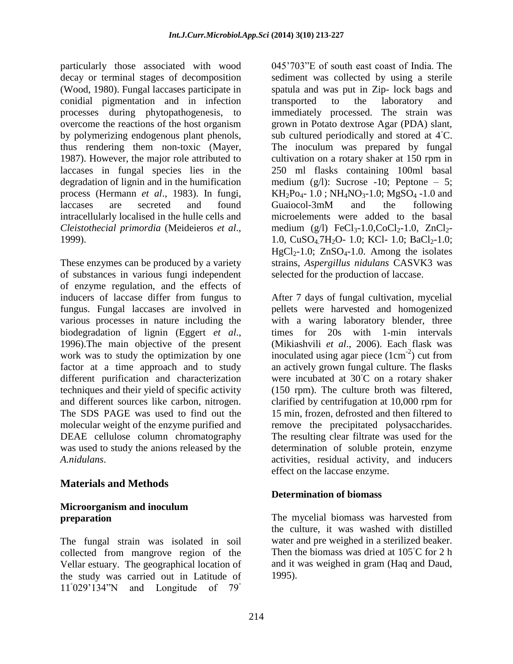particularly those associated with wood decay or terminal stages of decomposition (Wood, 1980). Fungal laccases participate in conidial pigmentation and in infection processes during phytopathogenesis, to overcome the reactions of the host organism by polymerizing endogenous plant phenols, thus rendering them non-toxic (Mayer, 1987). However, the major role attributed to laccases in fungal species lies in the degradation of lignin and in the humification process (Hermann *et al*., 1983). In fungi, laccases are secreted and found intracellularly localised in the hulle cells and *Cleistothecial primordia* (Meideieros *et al*., 1999).

These enzymes can be produced by a variety of substances in various fungi independent of enzyme regulation, and the effects of inducers of laccase differ from fungus to fungus. Fungal laccases are involved in various processes in nature including the biodegradation of lignin (Eggert *et al*., 1996).The main objective of the present work was to study the optimization by one factor at a time approach and to study different purification and characterization techniques and their yield of specific activity and different sources like carbon, nitrogen. The SDS PAGE was used to find out the molecular weight of the enzyme purified and DEAE cellulose column chromatography was used to study the anions released by the *A.nidulans*.

# **Materials and Methods**

## **Microorganism and inoculum preparation**

The fungal strain was isolated in soil collected from mangrove region of the Vellar estuary. The geographical location of the study was carried out in Latitude of 11°029'134"N and Longitude of  $79°$ 

045'703"E of south east coast of India. The sediment was collected by using a sterile spatula and was put in Zip- lock bags and transported to the laboratory and immediately processed. The strain was grown in Potato dextrose Agar (PDA) slant, sub cultured periodically and stored at 4<sup>°</sup>C. The inoculum was prepared by fungal cultivation on a rotary shaker at 150 rpm in 250 ml flasks containing 100ml basal medium  $(g/l)$ : Sucrose -10; Peptone – 5;  $KH_2Po_4-1.0$ ;  $NH_4NO_3-1.0$ ;  $MgSO_4-1.0$  and Guaiocol-3mM and the following microelements were added to the basal medium (g/l)  $FeCl_{3} - 1.0$ ,  $CoCl_{2} - 1.0$ ,  $ZnCl_{2} - 1.0$ 1.0, CuSO<sub>4</sub>.7H<sub>2</sub>O- 1.0; KCl- 1.0; BaCl<sub>2</sub>-1.0;  $HgCl<sub>2</sub>-1.0$ ;  $ZnSO<sub>4</sub>-1.0$ . Among the isolates strains, *Aspergillus nidulans* CASVK3 was selected for the production of laccase.

After 7 days of fungal cultivation, mycelial pellets were harvested and homogenized with a waring laboratory blender, three times for 20s with 1-min intervals (Mikiashvili *et al*., 2006). Each flask was inoculated using agar piece  $(1 \text{cm}^{-2})$  cut from an actively grown fungal culture. The flasks were incubated at 30℃ on a rotary shaker (150 rpm). The culture broth was filtered, clarified by centrifugation at 10,000 rpm for 15 min, frozen, defrosted and then filtered to remove the precipitated polysaccharides. The resulting clear filtrate was used for the determination of soluble protein, enzyme activities, residual activity, and inducers effect on the laccase enzyme.

### **Determination of biomass**

The mycelial biomass was harvested from the culture, it was washed with distilled water and pre weighed in a sterilized beaker. Then the biomass was dried at 105◦C for 2 h and it was weighed in gram (Haq and Daud, 1995).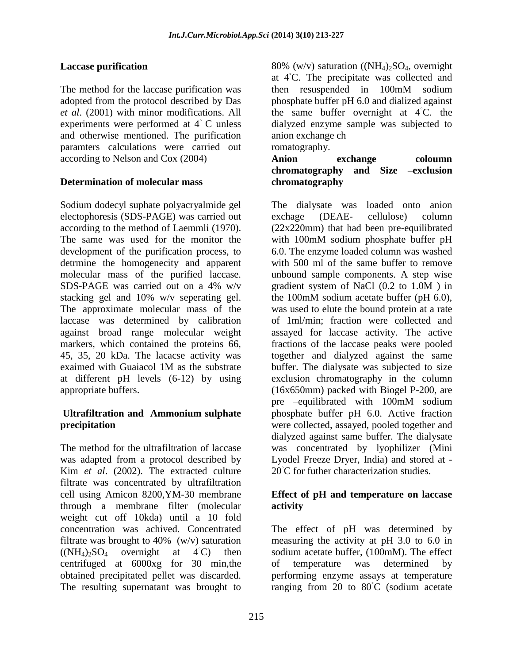## **Laccase purification**

The method for the laccase purification was adopted from the protocol described by Das *et al*. (2001) with minor modifications. All experiments were performed at 4◦ C unless and otherwise mentioned. The purification paramters calculations were carried out according to Nelson and Cox (2004)

## **Determination of molecular mass**

Sodium dodecyl suphate polyacryalmide gel electophoresis (SDS-PAGE) was carried out according to the method of Laemmli (1970). The same was used for the monitor the development of the purification process, to detrmine the homogenecity and apparent molecular mass of the purified laccase. SDS-PAGE was carried out on a 4% w/v stacking gel and 10% w/v seperating gel. The approximate molecular mass of the laccase was determined by calibration against broad range molecular weight markers, which contained the proteins 66, 45, 35, 20 kDa. The lacacse activity was exaimed with Guaiacol 1M as the substrate at different pH levels (6-12) by using appropriate buffers.

## **Ultrafiltration and Ammonium sulphate precipitation**

The method for the ultrafiltration of laccase was adapted from a protocol described by Kim *et al*. (2002). The extracted culture filtrate was concentrated by ultrafiltration cell using Amicon 8200,YM-30 membrane through a membrane filter (molecular weight cut off 10kda) until a 10 fold concentration was achived. Concentrated filtrate was brought to  $40\%$  (w/v) saturation  $((NH_4)_{2}SO_4$  overnight at 4<sup>°</sup>C) then centrifuged at 6000xg for 30 min,the obtained precipitated pellet was discarded. The resulting supernatant was brought to

80% (w/v) saturation ( $(NH_4)_2SO_4$ , overnight at 4◦C. The precipitate was collected and then resuspended in 100mM sodium phosphate buffer pH 6.0 and dialized against the same buffer overnight at  $4°C$ . the dialyzed enzyme sample was subjected to anion exchange ch romatography.

**Anion exchange coloumn chromatography and Size –exclusion chromatography**

The dialysate was loaded onto anion exchage (DEAE- cellulose) column (22x220mm) that had been pre-equilibrated with 100mM sodium phosphate buffer pH 6.0. The enzyme loaded column was washed with 500 ml of the same buffer to remove unbound sample components. A step wise gradient system of NaCl (0.2 to 1.0M ) in the 100mM sodium acetate buffer (pH 6.0), was used to elute the bound protein at a rate of 1ml/min; fraction were collected and assayed for laccase activity. The active fractions of the laccase peaks were pooled together and dialyzed against the same buffer. The dialysate was subjected to size exclusion chromatography in the column (16x650mm) packed with Biogel P-200, are pre –equilibrated with 100mM sodium phosphate buffer pH 6.0. Active fraction were collected, assayed, pooled together and dialyzed against same buffer. The dialysate was concentrated by lyophilizer (Mini Lyodel Freeze Dryer, India) and stored at - 20 ℃ for futher characterization studies.

### **Effect of pH and temperature on laccase activity**

The effect of pH was determined by measuring the activity at pH 3.0 to 6.0 in sodium acetate buffer, (100mM). The effect of temperature was determined by performing enzyme assays at temperature ranging from 20 to 80◦C (sodium acetate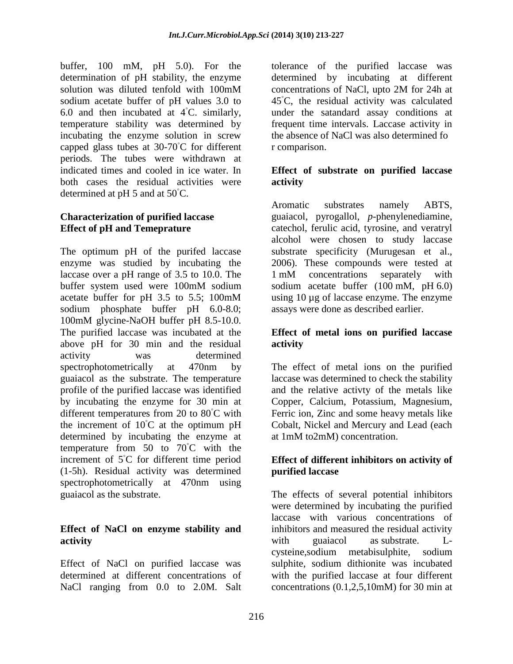buffer, 100 mM, pH 5.0). For the determination of pH stability, the enzyme solution was diluted tenfold with 100mM sodium acetate buffer of pH values 3.0 to 6.0 and then incubated at  $4°C$ . similarly, temperature stability was determined by incubating the enzyme solution in screw capped glass tubes at 30-70◦C for different periods. The tubes were withdrawn at indicated times and cooled in ice water. In both cases the residual activities were determined at pH 5 and at 50◦C.

# **Characterization of purified laccase Effect of pH and Temeprature**

The optimum pH of the purifed laccase enzyme was studied by incubating the laccase over a pH range of 3.5 to 10.0. The buffer system used were 100mM sodium acetate buffer for pH 3.5 to 5.5; 100mM sodium phosphate buffer pH 6.0-8.0; 100mM glycine-NaOH buffer pH 8.5-10.0. The purified laccase was incubated at the above pH for 30 min and the residual activity was determined spectrophotometrically at 470nm by guaiacol as the substrate. The temperature profile of the purified laccase was identified by incubating the enzyme for 30 min at different temperatures from 20 to 80◦C with the increment of  $10^{\circ}$ C at the optimum pH determined by incubating the enzyme at temperature from 50 to 70<sup>°</sup>C with the increment of 5◦C for different time period (1-5h). Residual activity was determined spectrophotometrically at 470nm using guaiacol as the substrate.

# **Effect of NaCl on enzyme stability and activity**

Effect of NaCl on purified laccase was determined at different concentrations of NaCl ranging from 0.0 to 2.0M. Salt

tolerance of the purified laccase was determined by incubating at different concentrations of NaCl, upto 2M for 24h at 45◦C, the residual activity was calculated under the satandard assay conditions at frequent time intervals. Laccase activity in the absence of NaCl was also determined fo r comparison.

# **Effect of substrate on purified laccase activity**

Aromatic substrates namely ABTS, guaiacol, pyrogallol, *p*-phenylenediamine, catechol, ferulic acid, tyrosine, and veratryl alcohol were chosen to study laccase substrate specificity (Murugesan et al., 2006). These compounds were tested at 1 mM concentrations separately with sodium acetate buffer (100 mM, pH 6.0) using 10 µg of laccase enzyme. The enzyme assays were done as described earlier.

## **Effect of metal ions on purified laccase activity**

The effect of metal ions on the purified laccase was determined to check the stability and the relative activty of the metals like Copper, Calcium, Potassium, Magnesium, Ferric ion, Zinc and some heavy metals like Cobalt, Nickel and Mercury and Lead (each at 1mM to2mM) concentration.

# **Effect of different inhibitors on activity of purified laccase**

The effects of several potential inhibitors were determined by incubating the purified laccase with various concentrations of inhibitors and measured the residual activity with guaiacol as substrate. Lcysteine,sodium metabisulphite, sodium sulphite, sodium dithionite was incubated with the purified laccase at four different concentrations (0.1,2,5,10mM) for 30 min at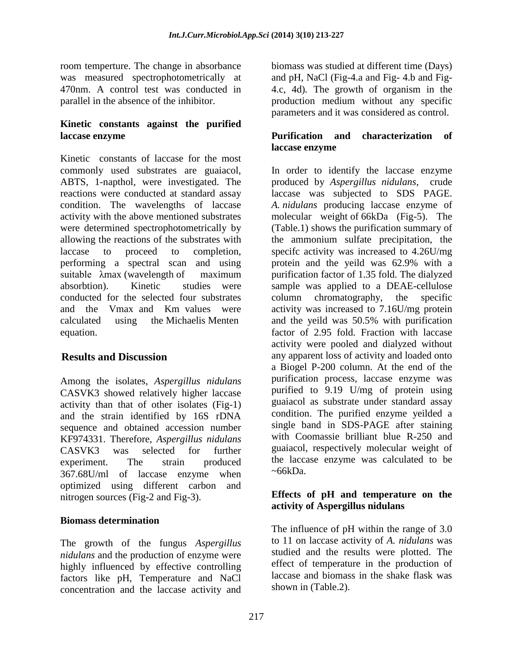room temperture. The change in absorbance was measured spectrophotometrically at 470nm. A control test was conducted in parallel in the absence of the inhibitor.

## **Kinetic constants against the purified laccase enzyme**

Kinetic constants of laccase for the most commonly used substrates are guaiacol, ABTS, 1-napthol, were investigated. The reactions were conducted at standard assay condition. The wavelengths of laccase activity with the above mentioned substrates were determined spectrophotometrically by allowing the reactions of the substrates with laccase to proceed to completion, performing a spectral scan and using suitable λmax (wavelength of maximum absorbtion). Kinetic studies were conducted for the selected four substrates and the Vmax and Km values were calculated using the Michaelis Menten equation.

# **Results and Discussion**

Among the isolates, *Aspergillus nidulans* CASVK3 showed relatively higher laccase activity than that of other isolates (Fig-1) and the strain identified by 16S rDNA sequence and obtained accession number KF974331. Therefore, *Aspergillus nidulans*  CASVK3 was selected for further experiment. The strain produced 367.68U/ml of laccase enzyme when optimized using different carbon and nitrogen sources (Fig-2 and Fig-3).

### **Biomass determination**

The growth of the fungus *Aspergillus nidulans* and the production of enzyme were highly influenced by effective controlling factors like pH, Temperature and NaCl concentration and the laccase activity and biomass was studied at different time (Days) and pH, NaCl (Fig-4.a and Fig- 4.b and Fig-4.c, 4d)*.* The growth of organism in the production medium without any specific parameters and it was considered as control.

## **Purification and characterization of laccase enzyme**

In order to identify the laccase enzyme produced by *Aspergillus nidulans*, crude laccase was subjected to SDS PAGE. *A. nidulans* producing laccase enzyme of molecular weight of 66kDa (Fig-5). The (Table.1) shows the purification summary of the ammonium sulfate precipitation, the specifc activity was increased to 4.26U/mg protein and the yeild was 62.9% with a purification factor of 1.35 fold. The dialyzed sample was applied to a DEAE-cellulose column chromatography, the specific activity was increased to 7.16U/mg protein and the yeild was 50.5% with purification factor of 2.95 fold. Fraction with laccase activity were pooled and dialyzed without any apparent loss of activity and loaded onto a Biogel P-200 column. At the end of the purification process, laccase enzyme was purified to 9.19 U/mg of protein using guaiacol as substrate under standard assay condition. The purified enzyme yeilded a single band in SDS-PAGE after staining with Coomassie brilliant blue R-250 and guaiacol, respectively molecular weight of the laccase enzyme was calculated to be  $~\sim$ 66kDa.

### **Effects of pH and temperature on the activity of Aspergillus nidulans**

The influence of pH within the range of 3.0 to 11 on laccase activity of *A. nidulans* was studied and the results were plotted. The effect of temperature in the production of laccase and biomass in the shake flask was shown in (Table.2).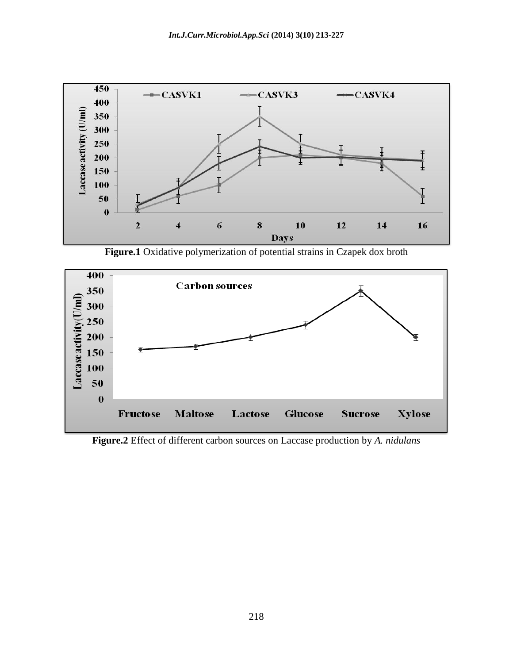

**Figure.1** Oxidative polymerization of potential strains in Czapek dox broth



**Figure.2** Effect of different carbon sources on Laccase production by *A. nidulans*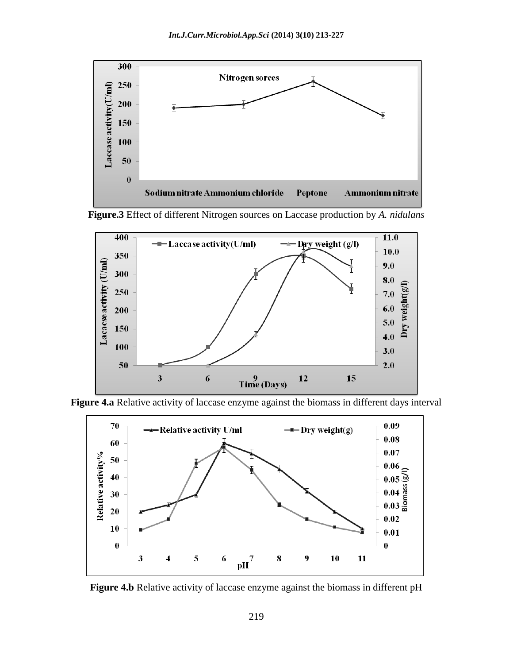









**Figure 4.b** Relative activity of laccase enzyme against the biomass in different pH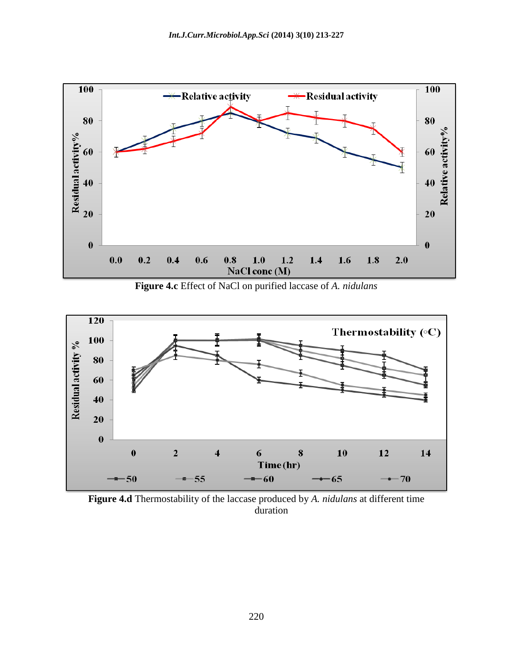

**Figure 4.c** Effect of NaCl on purified laccase of *A. nidulans*



**Figure 4.d** Thermostability of the laccase produced by *A. nidulans* at different time duration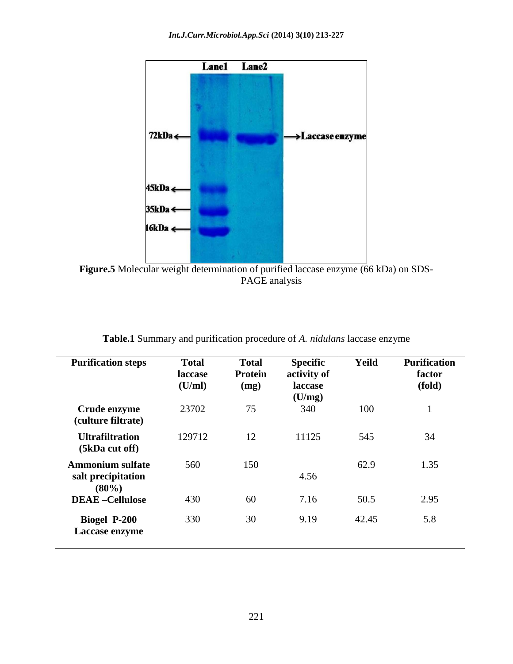

**Figure.5** Molecular weight determination of purified laccase enzyme (66 kDa) on SDS-PAGE analysis

| <b>Purification steps</b>                                 | <b>Total</b><br>laccase<br>(U/ml) | <b>Total</b><br><b>Protein</b><br>(mg) | <b>Specific</b><br>activity of<br><b>laccase</b><br>(U/mg) | Yeild | <b>Purification</b><br>factor<br>(fold) |
|-----------------------------------------------------------|-----------------------------------|----------------------------------------|------------------------------------------------------------|-------|-----------------------------------------|
| Crude enzyme<br>(culture filtrate)                        | 23702                             | 75                                     | 340                                                        | 100   | $\mathbf{1}$                            |
| <b>Ultrafiltration</b><br>(5kDa cut off)                  | 129712                            | 12                                     | 11125                                                      | 545   | 34                                      |
| <b>Ammonium sulfate</b><br>salt precipitation<br>$(80\%)$ | 560                               | 150                                    | 4.56                                                       | 62.9  | 1.35                                    |
| <b>DEAE-Cellulose</b>                                     | 430                               | 60                                     | 7.16                                                       | 50.5  | 2.95                                    |
| <b>Biogel P-200</b><br>Laccase enzyme                     | 330                               | 30                                     | 9.19                                                       | 42.45 | 5.8                                     |

**Table.1** Summary and purification procedure of *A. nidulans* laccase enzyme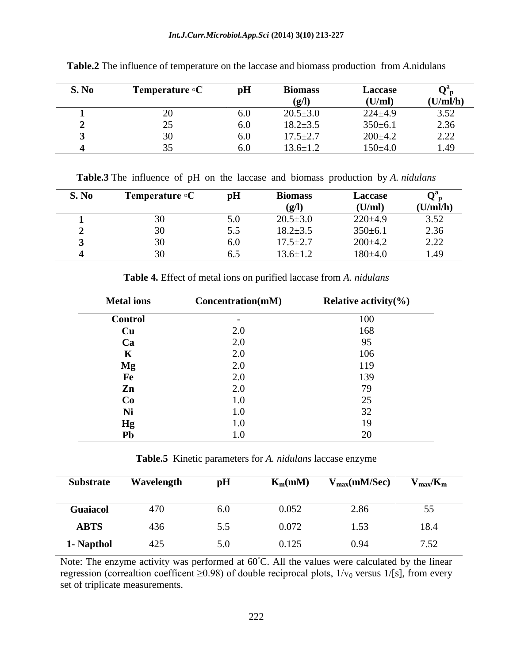#### *Int.J.Curr.Microbiol.App.Sci* **(2014) 3(10) 213-227**

| S. No | Temperature $\circ$ C | pH      | <b>Biomass</b><br>(g/I) | <b>Laccase</b><br>(U/ml) | ₹р<br>(U/ml/h) |
|-------|-----------------------|---------|-------------------------|--------------------------|----------------|
|       | 20                    | $6.0\,$ | $20.5 \pm 3.0$          | $224 \pm 4.9$            | 3.52           |
|       | 25                    | 6.0     | $18.2 \pm 3.5$          | $350 \pm 6.1$            | 2.36           |
|       | 30                    | 6.0     | $17.5 \pm 2.7$          | $200\pm4.2$              | 2.22           |
|       | 35                    | 6.0     | $13.6 \pm 1.2$          | $150+4.0$                | 1.49           |

**Table.2** The influence of temperature on the laccase and biomass production from *A*.nidulans

**Table.3** The influence of pH on the laccase and biomass production by *A. nidulans*

| S. No | <b>Temperature</b> $\circ$ <b>C</b> | pH  | <b>Biomass</b><br>(g/l) | <b>Laccase</b><br>(U/ml) | Vг<br>(U/ml/h) |
|-------|-------------------------------------|-----|-------------------------|--------------------------|----------------|
|       | 30                                  | 5.0 | $20.5 \pm 3.0$          | $220 \pm 4.9$            | 3.52           |
|       | 30                                  | 5.5 | $18.2 \pm 3.5$          | $350 \pm 6.1$            | 2.36           |
|       | 30                                  | 6.0 | $17.5 \pm 2.7$          | $200\pm4.2$              | 2.22           |
|       | 30                                  | 6.5 | 13.6±1.2                | $180 + 4.0$              | 1.49           |

| <b>Metal</b> ions | Concentration(mM) | Relative activity $\%$ ) |
|-------------------|-------------------|--------------------------|
| <b>Control</b>    |                   | 100                      |
| Cu                | 2.0               | 168                      |
| Ca                | 2.0               | 95                       |
| K                 | 2.0               | 106                      |
| Mg                | 2.0               | 119                      |
| Fe                | 2.0               | 139                      |
| Zn                | 2.0               | 79                       |
| Co                | 1.0               | 25                       |
| Ni                | 1.0               | 32                       |
| <b>Hg</b>         | 1.0               | 19                       |
| Pb                | $1.0\,$           | 20                       |

**Table 4.** Effect of metal ions on purified laccase from *A. nidulans*

**Table.5** Kinetic parameters for *A. nidulans* laccase enzyme

| <b>Substrate</b> | Wavelength | pH  | $K_m(mM)$ | $V_{max}(mM/Sec)$ | $V_{\rm max}/K_{\rm m}$ |
|------------------|------------|-----|-----------|-------------------|-------------------------|
| <b>Guaiacol</b>  | 470        | 6.0 | 0.052     | 2.86              | 55                      |
| <b>ABTS</b>      | 436        | 5.5 | 0.072     | 1.53              | 18.4                    |
| 1- Napthol       | 425        | 5.0 | 0.125     | 0.94              | 7.52                    |

Note: The enzyme activity was performed at 60◦C. All the values were calculated by the linear regression (correaltion coefficent  $\geq$ 0.98) of double reciprocal plots,  $1/v_0$  versus  $1/[s]$ , from every set of triplicate measurements.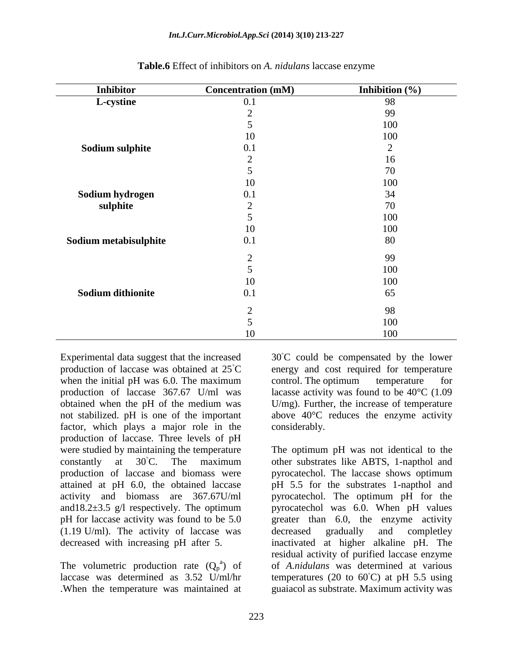| <b>Inhibitor</b>         | <b>Concentration (mM)</b> | Inhibition $(\% )$ |
|--------------------------|---------------------------|--------------------|
| L-cystine                | 0.1                       | 98                 |
|                          | $\overline{2}$            | 99                 |
|                          | 5                         | 100                |
|                          | 10                        | 100                |
| Sodium sulphite          | 0.1                       | $\overline{2}$     |
|                          | $\overline{2}$            | 16                 |
|                          | 5                         | 70                 |
|                          | 10                        | 100                |
| Sodium hydrogen          | 0.1                       | 34                 |
| sulphite                 | $\overline{2}$            | 70                 |
|                          | 5                         | 100                |
|                          | 10                        | 100                |
| Sodium metabisulphite    | 0.1                       | 80                 |
|                          | $\overline{2}$            | 99                 |
|                          | 5                         | 100                |
|                          | 10                        | 100                |
| <b>Sodium dithionite</b> | 0.1                       | 65                 |
|                          | $\overline{2}$            | 98                 |
|                          | $\overline{5}$            | 100                |
|                          | 10                        | 100                |

#### **Table.6** Effect of inhibitors on *A. nidulans* laccase enzyme

Experimental data suggest that the increased production of laccase was obtained at 25◦C when the initial pH was 6.0. The maximum production of laccase 367.67 U/ml was obtained when the pH of the medium was not stabilized. pH is one of the important factor, which plays a major role in the production of laccase. Three levels of pH were studied by maintaining the temperature constantly at 30◦C. The maximum production of laccase and biomass were attained at pH 6.0, the obtained laccase activity and biomass are 367.67U/ml and  $18.2 \pm 3.5$  g/l respectively. The optimum pH for laccase activity was found to be 5.0 (1.19 U/ml). The activity of laccase was decreased with increasing pH after 5.

The volumetric production rate  $(Q_p^a)$  of laccase was determined as 3.52 U/ml/hr .When the temperature was maintained at

30◦C could be compensated by the lower energy and cost required for temperature control. The optimum temperature for lacasse activity was found to be  $40^{\circ}$ C (1.09) U/mg). Further, the increase of temperature above 40°C reduces the enzyme activity considerably.

The optimum pH was not identical to the other substrates like ABTS, 1-napthol and pyrocatechol. The laccase shows optimum pH 5.5 for the substrates 1-napthol and pyrocatechol. The optimum pH for the pyrocatechol was 6.0. When pH values greater than 6.0, the enzyme activity decreased gradually and completley inactivated at higher alkaline pH. The residual activity of purified laccase enzyme of *A.nidulans* was determined at various temperatures (20 to  $60^{\circ}$ C) at pH 5.5 using guaiacol as substrate. Maximum activity was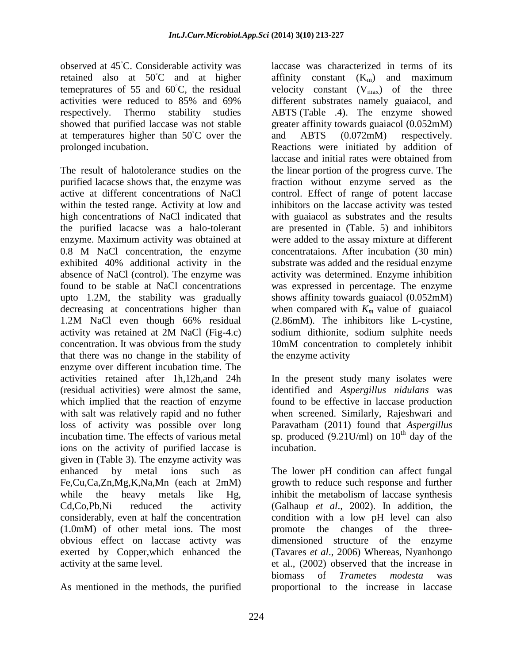observed at 45◦C. Considerable activity was retained also at 50◦C and at higher temepratures of 55 and  $60^{\circ}$ C, the residual activities were reduced to 85% and 69% respectively. Thermo stability studies showed that purified laccase was not stable at temperatures higher than 50◦C over the prolonged incubation.

The result of halotolerance studies on the purified lacacse shows that, the enzyme was active at different concentrations of NaCl within the tested range. Activity at low and high concentrations of NaCl indicated that the purified lacacse was a halo-tolerant enzyme. Maximum activity was obtained at 0.8 M NaCl concentration, the enzyme exhibited 40% additional activity in the absence of NaCl (control). The enzyme was found to be stable at NaCl concentrations upto 1.2M, the stability was gradually decreasing at concentrations higher than 1.2M NaCl even though 66% residual activity was retained at 2M NaCl (Fig-4.c) concentration. It was obvious from the study that there was no change in the stability of enzyme over different incubation time. The activities retained after 1h,12h,and 24h (residual activities) were almost the same, which implied that the reaction of enzyme with salt was relatively rapid and no futher loss of activity was possible over long incubation time. The effects of various metal ions on the activity of purified laccase is given in (Table 3). The enzyme activity was enhanced by metal ions such as Fe,Cu,Ca,Zn,Mg,K,Na,Mn (each at 2mM) while the heavy metals like Hg, Cd,Co,Pb,Ni reduced the activity considerably, even at half the concentration (1.0mM) of other metal ions. The most obvious effect on laccase activty was exerted by Copper,which enhanced the activity at the same level.

As mentioned in the methods, the purified

laccase was characterized in terms of its affinity constant  $(K_m)$  and maximum velocity constant  $(V_{max})$  of the three different substrates namely guaiacol, and ABTS (Table .4). The enzyme showed greater affinity towards guaiacol (0.052mM) and ABTS (0.072mM) respectively. Reactions were initiated by addition of laccase and initial rates were obtained from the linear portion of the progress curve. The fraction without enzyme served as the control. Effect of range of potent laccase inhibitors on the laccase activity was tested with guaiacol as substrates and the results are presented in (Table. 5) and inhibitors were added to the assay mixture at different concentrataions. After incubation (30 min) substrate was added and the residual enzyme activity was determined. Enzyme inhibition was expressed in percentage. The enzyme shows affinity towards guaiacol (0.052mM) when compared with  $K_m$  value of guaiacol (2.86mM). The inhibitors like L-cystine, sodium dithionite, sodium sulphite needs 10mM concentration to completely inhibit the enzyme activity

In the present study many isolates were identified and *Aspergillus nidulans* was found to be effective in laccase production when screened. Similarly, Rajeshwari and Paravatham (2011) found that *Aspergillus*  sp. produced (9.21U/ml) on  $10^{th}$  day of the incubation.

The lower pH condition can affect fungal growth to reduce such response and further inhibit the metabolism of laccase synthesis (Galhaup *et al*., 2002). In addition, the condition with a low pH level can also promote the changes of the threedimensioned structure of the enzyme (Tavares *et al*., 2006) Whereas, Nyanhongo et al., (2002) observed that the increase in biomass of *Trametes modesta* was proportional to the increase in laccase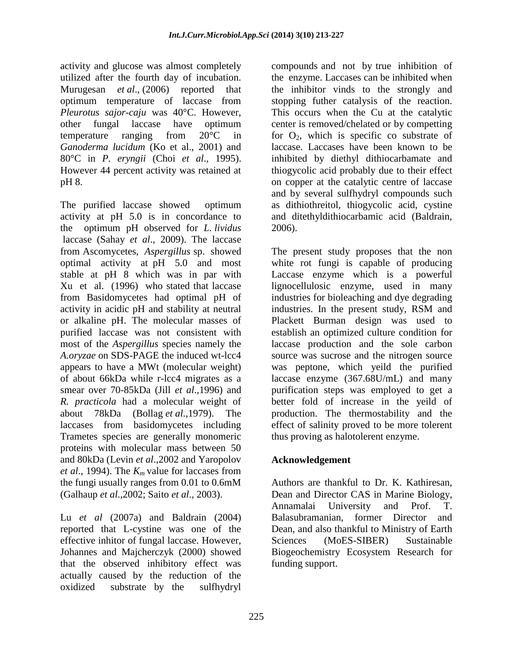activity and glucose was almost completely utilized after the fourth day of incubation. Murugesan *et al*., (2006) reported that optimum temperature of laccase from *Pleurotus sajor-caju* was 40°C. However, other fungal laccase have optimum temperature ranging from 20°C in *Ganoderma lucidum* (Ko et al., 2001) and 80°C in *P. eryngii* (Choi *et al*., 1995). However 44 percent activity was retained at pH 8.

The purified laccase showed optimum activity at pH 5.0 is in concordance to the optimum pH observed for *L. lividus*  laccase (Sahay *et al*., 2009). The laccase from Ascomycetes, *Aspergillus* sp. showed optimal activity at pH 5.0 and most stable at pH 8 which was in par with Xu et al. (1996) who stated that laccase from Basidomycetes had optimal pH of activity in acidic pH and stability at neutral or alkaline pH. The molecular masses of purified laccase was not consistent with most of the *Aspergillus* species namely the *A.oryzae* on SDS-PAGE the induced wt-lcc4 appears to have a MWt (molecular weight) of about 66kDa while r-lcc4 migrates as a smear over 70-85kDa (Jill *et al*.,1996) and *R. practicola* had a molecular weight of about 78kDa (Bollag *et al*.,1979). The laccases from basidomycetes including Trametes species are generally monomeric proteins with molecular mass between 50 and 80kDa (Levin *et al*.,2002 and Yaropolov *et al*., 1994). The *K<sup>m</sup>* value for laccases from the fungi usually ranges from 0.01 to 0.6mM (Galhaup *et al*.,2002; Saito *et al*., 2003).

Lu *et al* (2007a) and Baldrain (2004) reported that L-cystine was one of the effective inhitor of fungal laccase. However, Johannes and Majcherczyk (2000) showed that the observed inhibitory effect was actually caused by the reduction of the oxidized substrate by the sulfhydryl

compounds and not by true inhibition of the enzyme. Laccases can be inhibited when the inhibitor vinds to the strongly and stopping futher catalysis of the reaction. This occurs when the Cu at the catalytic center is removed/chelated or by competting for  $O_2$ , which is specific co substrate of laccase. Laccases have been known to be inhibited by diethyl dithiocarbamate and thiogycolic acid probably due to their effect on copper at the catalytic centre of laccase and by several sulfhydryl compounds such as dithiothreitol, thiogycolic acid, cystine and ditethyldithiocarbamic acid (Baldrain, 2006).

The present study proposes that the non white rot fungi is capable of producing Laccase enzyme which is a powerful lignocellulosic enzyme, used in many industries for bioleaching and dye degrading industries. In the present study, RSM and Plackett Burman design was used to establish an optimized culture condition for laccase production and the sole carbon source was sucrose and the nitrogen source was peptone, which yeild the purified laccase enzyme (367.68U/mL) and many purification steps was employed to get a better fold of increase in the yeild of production. The thermostability and the effect of salinity proved to be more tolerent thus proving as halotolerent enzyme.

# **Acknowledgement**

Authors are thankful to Dr. K. Kathiresan, Dean and Director CAS in Marine Biology, Annamalai University and Prof. T. Balasubramanian, former Director and Dean, and also thankful to Ministry of Earth Sciences (MoES-SIBER) Sustainable Biogeochemistry Ecosystem Research for funding support.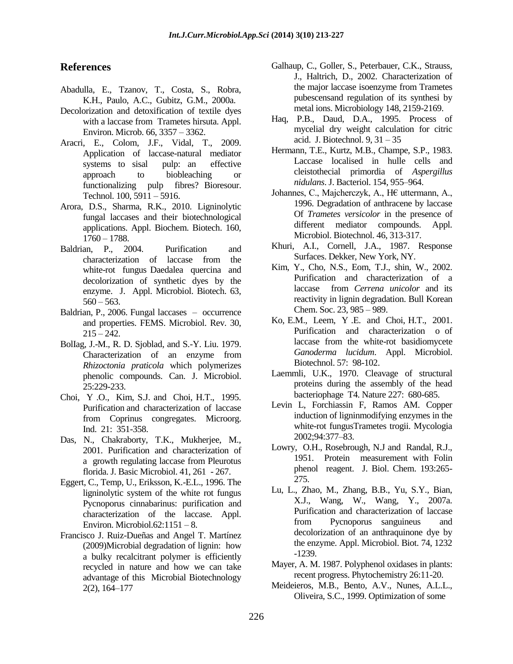#### **References**

- Abadulla, E., Tzanov, T., Costa, S., Robra, K.H., Paulo, A.C., Gubitz, G.M., 2000a.
- Decolorization and detoxification of textile dyes with a laccase from Trametes hirsuta. Appl. Environ. Microb. 66, 3357 – 3362.
- Aracri, E., Colom, J.F., Vidal, T., 2009. Application of laccase-natural mediator systems to sisal pulp: an effective approach to biobleaching or functionalizing pulp fibres? Bioresour. Technol. 100, 5911 – 5916.
- Arora, D.S., Sharma, R.K., 2010. Ligninolytic fungal laccases and their biotechnological applications. Appl. Biochem. Biotech. 160, 1760 – 1788.
- Baldrian, P., 2004. Purification and characterization of laccase from the white-rot fungus Daedalea quercina and decolorization of synthetic dyes by the enzyme. J. Appl. Microbiol. Biotech. 63,  $560 - 563$ .
- Baldrian, P., 2006. Fungal laccases occurrence and properties. FEMS. Microbiol. Rev. 30,  $215 - 242.$
- BolIag, J.-M., R. D. Sjoblad, and S.-Y. Liu. 1979. Characterization of an enzyme from *Rhizoctonia praticola* which polymerizes phenolic compounds. Can. J. Microbiol. 25:229-233.
- Choi, Y .O., Kim, S.J. and Choi, H.T., 1995. Purification and characterization of laccase from Coprinus congregates. Microorg. Ind. 21: 351-358.
- Das, N., Chakraborty, T.K., Mukherjee, M., 2001. Purification and characterization of a growth regulating laccase from Pleurotus florida. J. Basic Microbiol. 41, 261 - 267.
- Eggert, C., Temp, U., Eriksson, K.-E.L., 1996. The ligninolytic system of the white rot fungus Pycnoporus cinnabarinus: purification and characterization of the laccase. Appl. Environ. Microbiol.62:1151 – 8.
- Francisco J. Ruiz-Dueñas and Angel T. Martínez (2009)Microbial degradation of lignin: how a bulky recalcitrant polymer is efficiently recycled in nature and how we can take advantage of this Microbial Biotechnology 2(2), 164–177
- Galhaup, C., Goller, S., Peterbauer, C.K., Strauss, J., Haltrich, D., 2002. Characterization of the major laccase isoenzyme from Trametes pubescensand regulation of its synthesi by metal ions. Microbiology 148, 2159-2169.
- Haq, P.B., Daud, D.A., 1995. Process of mycelial dry weight calculation for citric acid. J. Biotechnol. 9, 31 – 35
- Hermann, T.E., Kurtz, M.B., Champe, S.P., 1983. Laccase localised in hulle cells and cleistothecial primordia of *Aspergillus nidulans*. J. Bacteriol. 154, 955–964.
- Johannes, C., Majcherczyk, A., H€ uttermann, A., 1996. Degradation of anthracene by laccase Of *Trametes versicolor* in the presence of different mediator compounds. Appl. Microbiol. Biotechnol. 46, 313-317.
- Khuri, A.I., Cornell, J.A., 1987. Response Surfaces. Dekker, New York, NY.
- Kim, Y., Cho, N.S., Eom, T.J., shin, W., 2002. Purification and characterization of a laccase from *Cerrena unicolor* and its reactivity in lignin degradation. Bull Korean Chem. Soc. 23, 985 – 989.
- Ko, E.M., Leem, Y .E. and Choi, H.T., 2001. Purification and characterization o of laccase from the white-rot basidiomycete *Ganoderma lucidum*. Appl. Microbiol. Biotechnol. 57: 98-102.
- Laemmli, U.K., 1970. Cleavage of structural proteins during the assembly of the head bacteriophage T4. Nature 227: 680-685.
- Levin L, Forchiassin F, Ramos AM. Copper induction of ligninmodifying enzymes in the white-rot fungusTrametes trogii. Mycologia 2002;94:377–83.
- Lowry, O.H., Rosebrough, N.J and Randal, R.J., 1951. Protein measurement with Folin phenol reagent. J. Biol. Chem. 193:265- 275.
- Lu, L., Zhao, M., Zhang, B.B., Yu, S.Y., Bian, X.J., Wang, W., Wang, Y., 2007a. Purification and characterization of laccase from Pycnoporus sanguineus and decolorization of an anthraquinone dye by the enzyme. Appl. Microbiol. Biot. 74, 1232 -1239.
- Mayer, A. M. 1987. Polyphenol oxidases in plants: recent progress. Phytochemistry 26:11-20.
- Meideieros, M.B., Bento, A.V., Nunes, A.L.L., Oliveira, S.C., 1999. Optimization of some